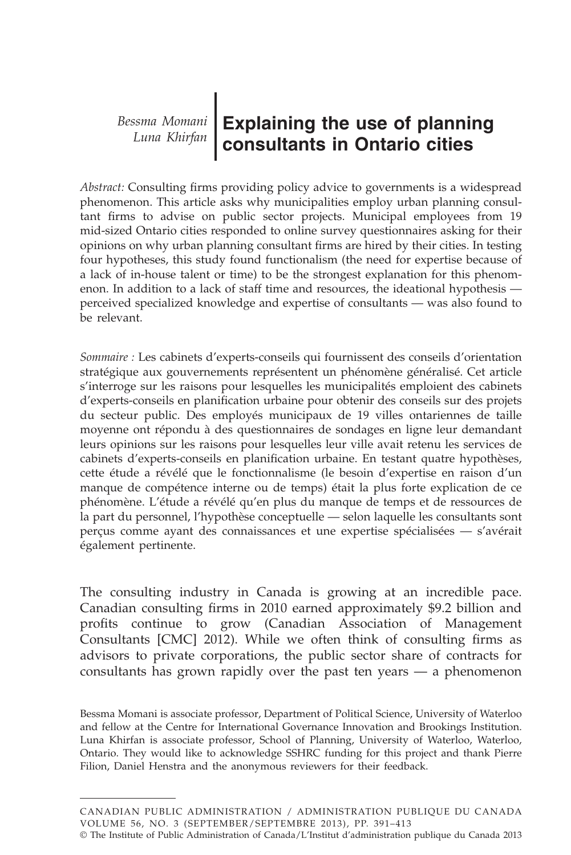**Explaining the use of planning consultants in Ontario cities** *Bessma Momani Luna Khirfan*

*Abstract:* Consulting firms providing policy advice to governments is a widespread phenomenon. This article asks why municipalities employ urban planning consultant firms to advise on public sector projects. Municipal employees from 19 mid-sized Ontario cities responded to online survey questionnaires asking for their opinions on why urban planning consultant firms are hired by their cities. In testing four hypotheses, this study found functionalism (the need for expertise because of a lack of in-house talent or time) to be the strongest explanation for this phenomenon. In addition to a lack of staff time and resources, the ideational hypothesis perceived specialized knowledge and expertise of consultants — was also found to be relevant.

*Sommaire :* Les cabinets d'experts-conseils qui fournissent des conseils d'orientation stratégique aux gouvernements représentent un phénomène généralisé. Cet article s'interroge sur les raisons pour lesquelles les municipalités emploient des cabinets d'experts-conseils en planification urbaine pour obtenir des conseils sur des projets du secteur public. Des employés municipaux de 19 villes ontariennes de taille moyenne ont répondu à des questionnaires de sondages en ligne leur demandant leurs opinions sur les raisons pour lesquelles leur ville avait retenu les services de cabinets d'experts-conseils en planification urbaine. En testant quatre hypothèses, cette étude a révélé que le fonctionnalisme (le besoin d'expertise en raison d'un manque de compétence interne ou de temps) était la plus forte explication de ce phénomène. L'étude a révélé qu'en plus du manque de temps et de ressources de la part du personnel, l'hypothèse conceptuelle — selon laquelle les consultants sont perçus comme ayant des connaissances et une expertise spécialisées — s'avérait également pertinente.

The consulting industry in Canada is growing at an incredible pace. Canadian consulting firms in 2010 earned approximately \$9.2 billion and profits continue to grow (Canadian Association of Management Consultants [CMC] 2012). While we often think of consulting firms as advisors to private corporations, the public sector share of contracts for consultants has grown rapidly over the past ten years — a phenomenon

Bessma Momani is associate professor, Department of Political Science, University of Waterloo and fellow at the Centre for International Governance Innovation and Brookings Institution. Luna Khirfan is associate professor, School of Planning, University of Waterloo, Waterloo, Ontario. They would like to acknowledge SSHRC funding for this project and thank Pierre Filion, Daniel Henstra and the anonymous reviewers for their feedback.

CANADIAN PUBLIC ADMINISTRATION / ADMINISTRATION PUBLIQUE DU CANADA VOLUME 56, NO. 3 (SEPTEMBER/SEPTEMBRE 2013 ), PP. 391–413

<sup>©</sup> The Institute of Public Administration of Canada/L'Institut d'administration publique du Canada 2013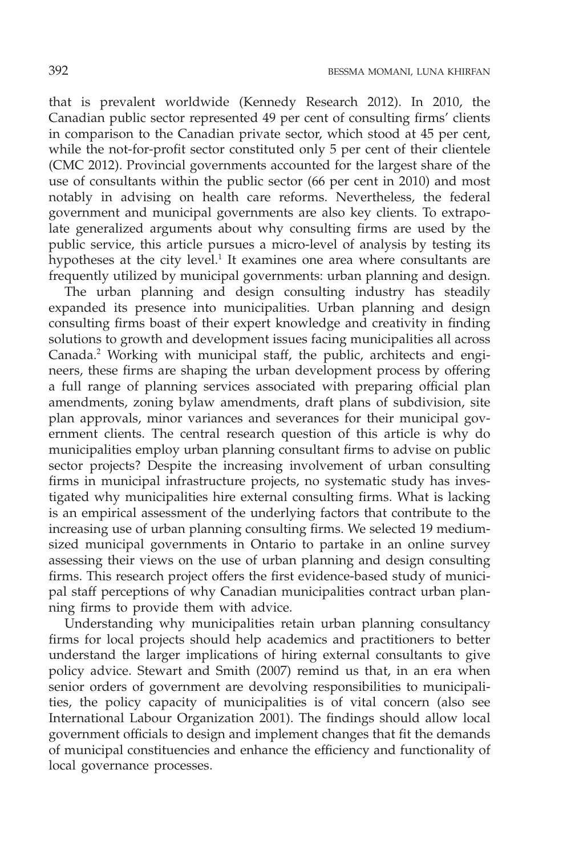that is prevalent worldwide (Kennedy Research 2012). In 2010, the Canadian public sector represented 49 per cent of consulting firms' clients in comparison to the Canadian private sector, which stood at 45 per cent, while the not-for-profit sector constituted only 5 per cent of their clientele (CMC 2012). Provincial governments accounted for the largest share of the use of consultants within the public sector (66 per cent in 2010) and most notably in advising on health care reforms. Nevertheless, the federal government and municipal governments are also key clients. To extrapolate generalized arguments about why consulting firms are used by the public service, this article pursues a micro-level of analysis by testing its hypotheses at the city level.<sup>1</sup> It examines one area where consultants are frequently utilized by municipal governments: urban planning and design.

The urban planning and design consulting industry has steadily expanded its presence into municipalities. Urban planning and design consulting firms boast of their expert knowledge and creativity in finding solutions to growth and development issues facing municipalities all across Canada.2 Working with municipal staff, the public, architects and engineers, these firms are shaping the urban development process by offering a full range of planning services associated with preparing official plan amendments, zoning bylaw amendments, draft plans of subdivision, site plan approvals, minor variances and severances for their municipal government clients. The central research question of this article is why do municipalities employ urban planning consultant firms to advise on public sector projects? Despite the increasing involvement of urban consulting firms in municipal infrastructure projects, no systematic study has investigated why municipalities hire external consulting firms. What is lacking is an empirical assessment of the underlying factors that contribute to the increasing use of urban planning consulting firms. We selected 19 mediumsized municipal governments in Ontario to partake in an online survey assessing their views on the use of urban planning and design consulting firms. This research project offers the first evidence-based study of municipal staff perceptions of why Canadian municipalities contract urban planning firms to provide them with advice.

Understanding why municipalities retain urban planning consultancy firms for local projects should help academics and practitioners to better understand the larger implications of hiring external consultants to give policy advice. Stewart and Smith (2007) remind us that, in an era when senior orders of government are devolving responsibilities to municipalities, the policy capacity of municipalities is of vital concern (also see International Labour Organization 2001). The findings should allow local government officials to design and implement changes that fit the demands of municipal constituencies and enhance the efficiency and functionality of local governance processes.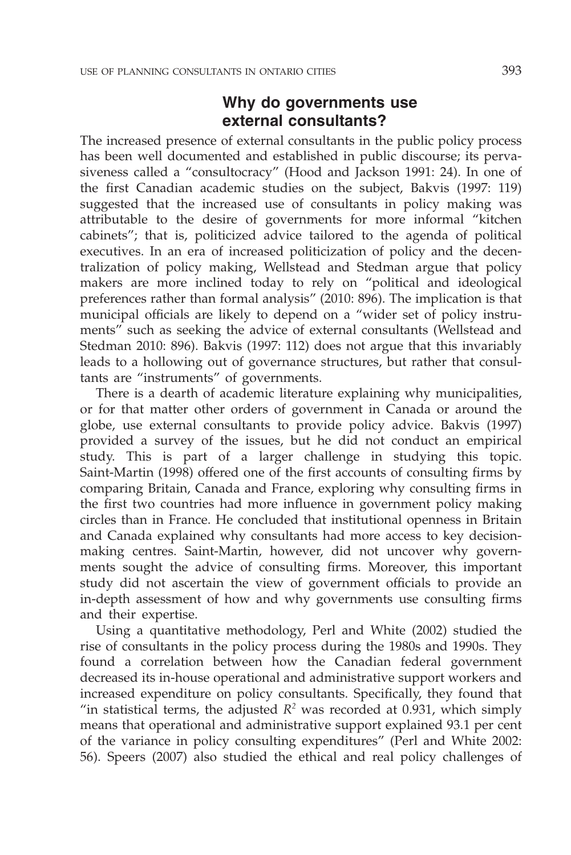## **Why do governments use external consultants?**

The increased presence of external consultants in the public policy process has been well documented and established in public discourse; its pervasiveness called a "consultocracy" (Hood and Jackson 1991: 24). In one of the first Canadian academic studies on the subject, Bakvis (1997: 119) suggested that the increased use of consultants in policy making was attributable to the desire of governments for more informal "kitchen cabinets"; that is, politicized advice tailored to the agenda of political executives. In an era of increased politicization of policy and the decentralization of policy making, Wellstead and Stedman argue that policy makers are more inclined today to rely on "political and ideological preferences rather than formal analysis" (2010: 896). The implication is that municipal officials are likely to depend on a "wider set of policy instruments" such as seeking the advice of external consultants (Wellstead and Stedman 2010: 896). Bakvis (1997: 112) does not argue that this invariably leads to a hollowing out of governance structures, but rather that consultants are "instruments" of governments.

There is a dearth of academic literature explaining why municipalities, or for that matter other orders of government in Canada or around the globe, use external consultants to provide policy advice. Bakvis (1997) provided a survey of the issues, but he did not conduct an empirical study. This is part of a larger challenge in studying this topic. Saint-Martin (1998) offered one of the first accounts of consulting firms by comparing Britain, Canada and France, exploring why consulting firms in the first two countries had more influence in government policy making circles than in France. He concluded that institutional openness in Britain and Canada explained why consultants had more access to key decisionmaking centres. Saint-Martin, however, did not uncover why governments sought the advice of consulting firms. Moreover, this important study did not ascertain the view of government officials to provide an in-depth assessment of how and why governments use consulting firms and their expertise.

Using a quantitative methodology, Perl and White (2002) studied the rise of consultants in the policy process during the 1980s and 1990s. They found a correlation between how the Canadian federal government decreased its in-house operational and administrative support workers and increased expenditure on policy consultants. Specifically, they found that "in statistical terms, the adjusted  $R^2$  was recorded at 0.931, which simply means that operational and administrative support explained 93.1 per cent of the variance in policy consulting expenditures" (Perl and White 2002: 56). Speers (2007) also studied the ethical and real policy challenges of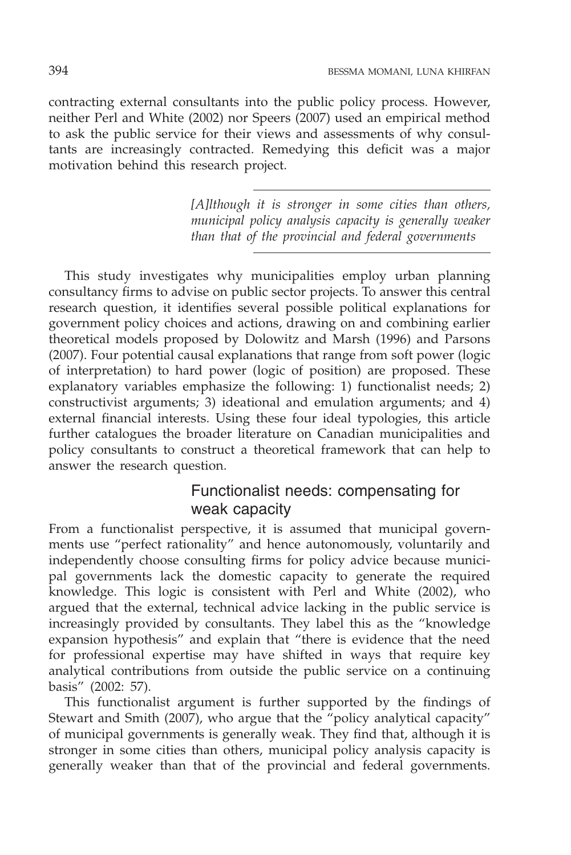contracting external consultants into the public policy process. However, neither Perl and White (2002) nor Speers (2007) used an empirical method to ask the public service for their views and assessments of why consultants are increasingly contracted. Remedying this deficit was a major motivation behind this research project.

> *[A]lthough it is stronger in some cities than others, municipal policy analysis capacity is generally weaker than that of the provincial and federal governments*

This study investigates why municipalities employ urban planning consultancy firms to advise on public sector projects. To answer this central research question, it identifies several possible political explanations for government policy choices and actions, drawing on and combining earlier theoretical models proposed by Dolowitz and Marsh (1996) and Parsons (2007). Four potential causal explanations that range from soft power (logic of interpretation) to hard power (logic of position) are proposed. These explanatory variables emphasize the following: 1) functionalist needs; 2) constructivist arguments; 3) ideational and emulation arguments; and 4) external financial interests. Using these four ideal typologies, this article further catalogues the broader literature on Canadian municipalities and policy consultants to construct a theoretical framework that can help to answer the research question.

# Functionalist needs: compensating for weak capacity

From a functionalist perspective, it is assumed that municipal governments use "perfect rationality" and hence autonomously, voluntarily and independently choose consulting firms for policy advice because municipal governments lack the domestic capacity to generate the required knowledge. This logic is consistent with Perl and White (2002), who argued that the external, technical advice lacking in the public service is increasingly provided by consultants. They label this as the "knowledge expansion hypothesis" and explain that "there is evidence that the need for professional expertise may have shifted in ways that require key analytical contributions from outside the public service on a continuing basis" (2002: 57).

This functionalist argument is further supported by the findings of Stewart and Smith (2007), who argue that the "policy analytical capacity" of municipal governments is generally weak. They find that, although it is stronger in some cities than others, municipal policy analysis capacity is generally weaker than that of the provincial and federal governments.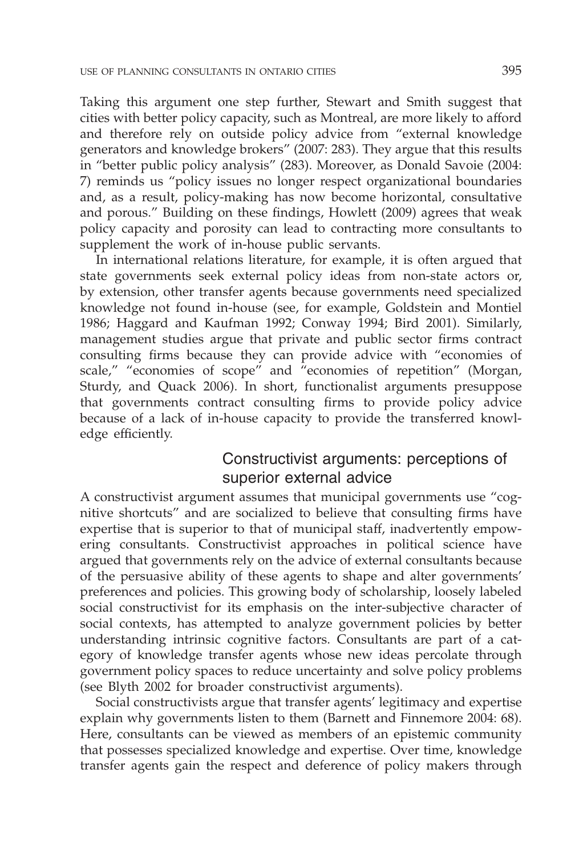Taking this argument one step further, Stewart and Smith suggest that cities with better policy capacity, such as Montreal, are more likely to afford and therefore rely on outside policy advice from "external knowledge generators and knowledge brokers" (2007: 283). They argue that this results in "better public policy analysis" (283). Moreover, as Donald Savoie (2004: 7) reminds us "policy issues no longer respect organizational boundaries and, as a result, policy-making has now become horizontal, consultative and porous." Building on these findings, Howlett (2009) agrees that weak policy capacity and porosity can lead to contracting more consultants to supplement the work of in-house public servants.

In international relations literature, for example, it is often argued that state governments seek external policy ideas from non-state actors or, by extension, other transfer agents because governments need specialized knowledge not found in-house (see, for example, Goldstein and Montiel 1986; Haggard and Kaufman 1992; Conway 1994; Bird 2001). Similarly, management studies argue that private and public sector firms contract consulting firms because they can provide advice with "economies of scale," "economies of scope" and "economies of repetition" (Morgan, Sturdy, and Quack 2006). In short, functionalist arguments presuppose that governments contract consulting firms to provide policy advice because of a lack of in-house capacity to provide the transferred knowledge efficiently.

## Constructivist arguments: perceptions of superior external advice

A constructivist argument assumes that municipal governments use "cognitive shortcuts" and are socialized to believe that consulting firms have expertise that is superior to that of municipal staff, inadvertently empowering consultants. Constructivist approaches in political science have argued that governments rely on the advice of external consultants because of the persuasive ability of these agents to shape and alter governments' preferences and policies. This growing body of scholarship, loosely labeled social constructivist for its emphasis on the inter-subjective character of social contexts, has attempted to analyze government policies by better understanding intrinsic cognitive factors. Consultants are part of a category of knowledge transfer agents whose new ideas percolate through government policy spaces to reduce uncertainty and solve policy problems (see Blyth 2002 for broader constructivist arguments).

Social constructivists argue that transfer agents' legitimacy and expertise explain why governments listen to them (Barnett and Finnemore 2004: 68). Here, consultants can be viewed as members of an epistemic community that possesses specialized knowledge and expertise. Over time, knowledge transfer agents gain the respect and deference of policy makers through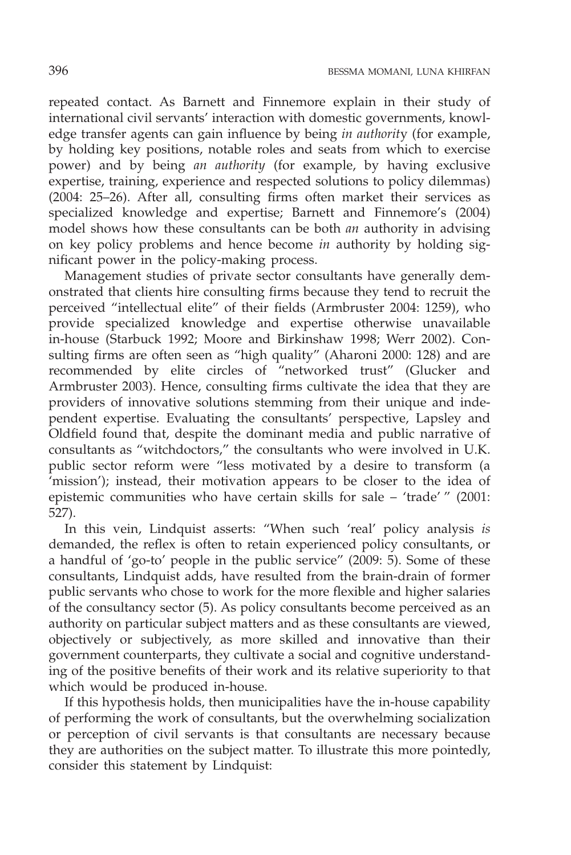repeated contact. As Barnett and Finnemore explain in their study of international civil servants' interaction with domestic governments, knowledge transfer agents can gain influence by being *in authorit*y (for example, by holding key positions, notable roles and seats from which to exercise power) and by being *an authority* (for example, by having exclusive expertise, training, experience and respected solutions to policy dilemmas) (2004: 25–26). After all, consulting firms often market their services as specialized knowledge and expertise; Barnett and Finnemore's (2004) model shows how these consultants can be both *an* authority in advising on key policy problems and hence become *in* authority by holding significant power in the policy-making process.

Management studies of private sector consultants have generally demonstrated that clients hire consulting firms because they tend to recruit the perceived "intellectual elite" of their fields (Armbruster 2004: 1259), who provide specialized knowledge and expertise otherwise unavailable in-house (Starbuck 1992; Moore and Birkinshaw 1998; Werr 2002). Consulting firms are often seen as "high quality" (Aharoni 2000: 128) and are recommended by elite circles of "networked trust" (Glucker and Armbruster 2003). Hence, consulting firms cultivate the idea that they are providers of innovative solutions stemming from their unique and independent expertise. Evaluating the consultants' perspective, Lapsley and Oldfield found that, despite the dominant media and public narrative of consultants as "witchdoctors," the consultants who were involved in U.K. public sector reform were "less motivated by a desire to transform (a 'mission'); instead, their motivation appears to be closer to the idea of epistemic communities who have certain skills for sale – 'trade' " (2001: 527).

In this vein, Lindquist asserts: "When such 'real' policy analysis *is* demanded, the reflex is often to retain experienced policy consultants, or a handful of 'go-to' people in the public service" (2009: 5). Some of these consultants, Lindquist adds, have resulted from the brain-drain of former public servants who chose to work for the more flexible and higher salaries of the consultancy sector (5). As policy consultants become perceived as an authority on particular subject matters and as these consultants are viewed, objectively or subjectively, as more skilled and innovative than their government counterparts, they cultivate a social and cognitive understanding of the positive benefits of their work and its relative superiority to that which would be produced in-house.

If this hypothesis holds, then municipalities have the in-house capability of performing the work of consultants, but the overwhelming socialization or perception of civil servants is that consultants are necessary because they are authorities on the subject matter. To illustrate this more pointedly, consider this statement by Lindquist: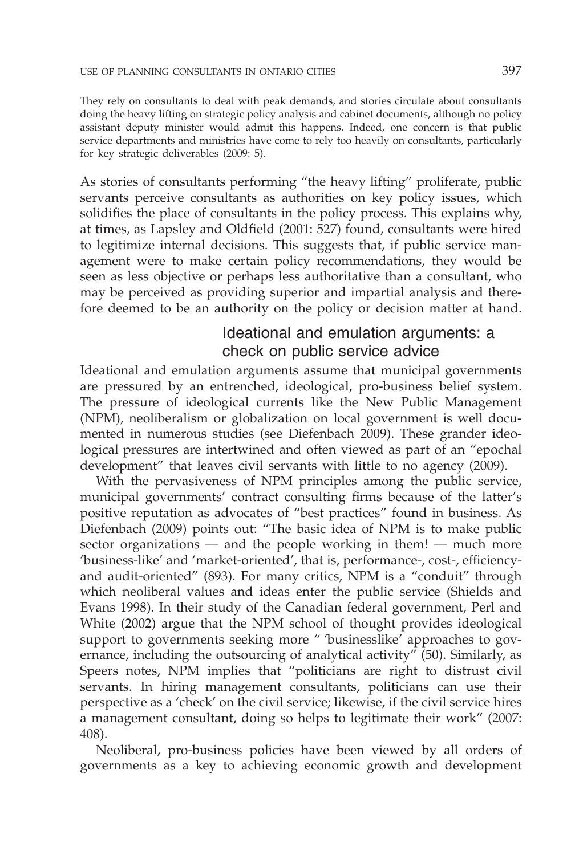They rely on consultants to deal with peak demands, and stories circulate about consultants doing the heavy lifting on strategic policy analysis and cabinet documents, although no policy assistant deputy minister would admit this happens. Indeed, one concern is that public service departments and ministries have come to rely too heavily on consultants, particularly for key strategic deliverables (2009: 5).

As stories of consultants performing "the heavy lifting" proliferate, public servants perceive consultants as authorities on key policy issues, which solidifies the place of consultants in the policy process. This explains why, at times, as Lapsley and Oldfield (2001: 527) found, consultants were hired to legitimize internal decisions. This suggests that, if public service management were to make certain policy recommendations, they would be seen as less objective or perhaps less authoritative than a consultant, who may be perceived as providing superior and impartial analysis and therefore deemed to be an authority on the policy or decision matter at hand.

# Ideational and emulation arguments: a check on public service advice

Ideational and emulation arguments assume that municipal governments are pressured by an entrenched, ideological, pro-business belief system. The pressure of ideological currents like the New Public Management (NPM), neoliberalism or globalization on local government is well documented in numerous studies (see Diefenbach 2009). These grander ideological pressures are intertwined and often viewed as part of an "epochal development" that leaves civil servants with little to no agency (2009).

With the pervasiveness of NPM principles among the public service, municipal governments' contract consulting firms because of the latter's positive reputation as advocates of "best practices" found in business. As Diefenbach (2009) points out: "The basic idea of NPM is to make public sector organizations — and the people working in them! — much more 'business-like' and 'market-oriented', that is, performance-, cost-, efficiencyand audit-oriented" (893). For many critics, NPM is a "conduit" through which neoliberal values and ideas enter the public service (Shields and Evans 1998). In their study of the Canadian federal government, Perl and White (2002) argue that the NPM school of thought provides ideological support to governments seeking more " 'businesslike' approaches to governance, including the outsourcing of analytical activity" (50). Similarly, as Speers notes, NPM implies that "politicians are right to distrust civil servants. In hiring management consultants, politicians can use their perspective as a 'check' on the civil service; likewise, if the civil service hires a management consultant, doing so helps to legitimate their work" (2007: 408).

Neoliberal, pro-business policies have been viewed by all orders of governments as a key to achieving economic growth and development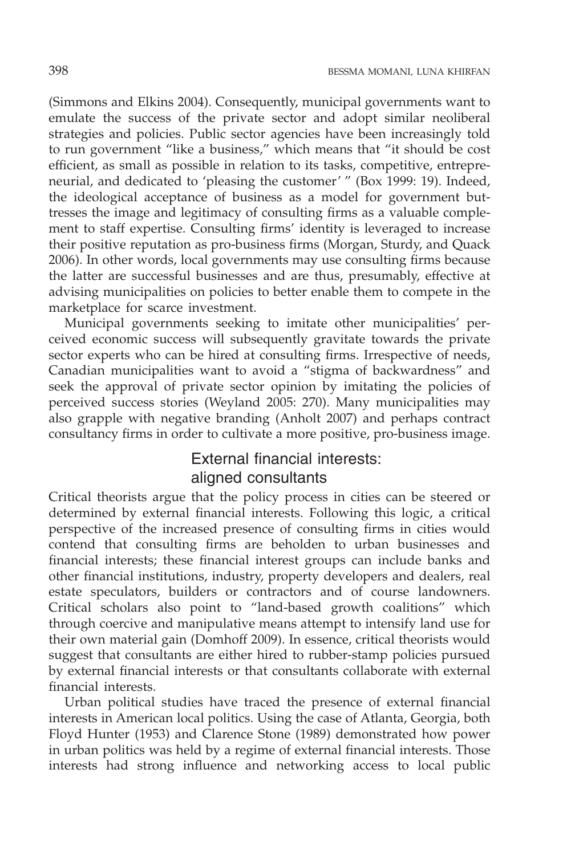(Simmons and Elkins 2004). Consequently, municipal governments want to emulate the success of the private sector and adopt similar neoliberal strategies and policies. Public sector agencies have been increasingly told to run government "like a business," which means that "it should be cost efficient, as small as possible in relation to its tasks, competitive, entrepreneurial, and dedicated to 'pleasing the customer' " (Box 1999: 19). Indeed, the ideological acceptance of business as a model for government buttresses the image and legitimacy of consulting firms as a valuable complement to staff expertise. Consulting firms' identity is leveraged to increase their positive reputation as pro-business firms (Morgan, Sturdy, and Quack 2006). In other words, local governments may use consulting firms because the latter are successful businesses and are thus, presumably, effective at advising municipalities on policies to better enable them to compete in the marketplace for scarce investment.

Municipal governments seeking to imitate other municipalities' perceived economic success will subsequently gravitate towards the private sector experts who can be hired at consulting firms. Irrespective of needs, Canadian municipalities want to avoid a "stigma of backwardness" and seek the approval of private sector opinion by imitating the policies of perceived success stories (Weyland 2005: 270). Many municipalities may also grapple with negative branding (Anholt 2007) and perhaps contract consultancy firms in order to cultivate a more positive, pro-business image.

# External financial interests: aligned consultants

Critical theorists argue that the policy process in cities can be steered or determined by external financial interests. Following this logic, a critical perspective of the increased presence of consulting firms in cities would contend that consulting firms are beholden to urban businesses and financial interests; these financial interest groups can include banks and other financial institutions, industry, property developers and dealers, real estate speculators, builders or contractors and of course landowners. Critical scholars also point to "land-based growth coalitions" which through coercive and manipulative means attempt to intensify land use for their own material gain (Domhoff 2009). In essence, critical theorists would suggest that consultants are either hired to rubber-stamp policies pursued by external financial interests or that consultants collaborate with external financial interests.

Urban political studies have traced the presence of external financial interests in American local politics. Using the case of Atlanta, Georgia, both Floyd Hunter (1953) and Clarence Stone (1989) demonstrated how power in urban politics was held by a regime of external financial interests. Those interests had strong influence and networking access to local public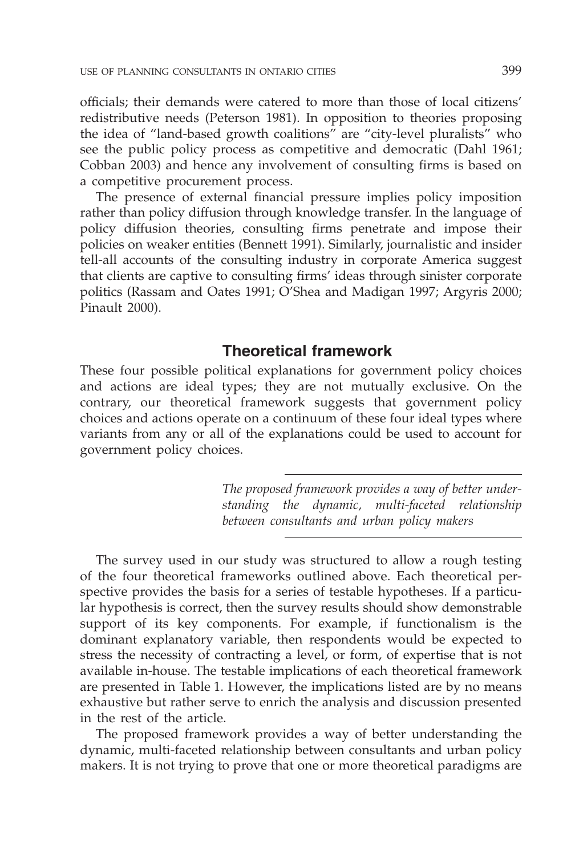officials; their demands were catered to more than those of local citizens' redistributive needs (Peterson 1981). In opposition to theories proposing the idea of "land-based growth coalitions" are "city-level pluralists" who see the public policy process as competitive and democratic (Dahl 1961; Cobban 2003) and hence any involvement of consulting firms is based on a competitive procurement process.

The presence of external financial pressure implies policy imposition rather than policy diffusion through knowledge transfer. In the language of policy diffusion theories, consulting firms penetrate and impose their policies on weaker entities (Bennett 1991). Similarly, journalistic and insider tell-all accounts of the consulting industry in corporate America suggest that clients are captive to consulting firms' ideas through sinister corporate politics (Rassam and Oates 1991; O'Shea and Madigan 1997; Argyris 2000; Pinault 2000).

### **Theoretical framework**

These four possible political explanations for government policy choices and actions are ideal types; they are not mutually exclusive. On the contrary, our theoretical framework suggests that government policy choices and actions operate on a continuum of these four ideal types where variants from any or all of the explanations could be used to account for government policy choices.

> *The proposed framework provides a way of better understanding the dynamic, multi-faceted relationship between consultants and urban policy makers*

The survey used in our study was structured to allow a rough testing of the four theoretical frameworks outlined above. Each theoretical perspective provides the basis for a series of testable hypotheses. If a particular hypothesis is correct, then the survey results should show demonstrable support of its key components. For example, if functionalism is the dominant explanatory variable, then respondents would be expected to stress the necessity of contracting a level, or form, of expertise that is not available in-house. The testable implications of each theoretical framework are presented in Table 1. However, the implications listed are by no means exhaustive but rather serve to enrich the analysis and discussion presented in the rest of the article.

The proposed framework provides a way of better understanding the dynamic, multi-faceted relationship between consultants and urban policy makers. It is not trying to prove that one or more theoretical paradigms are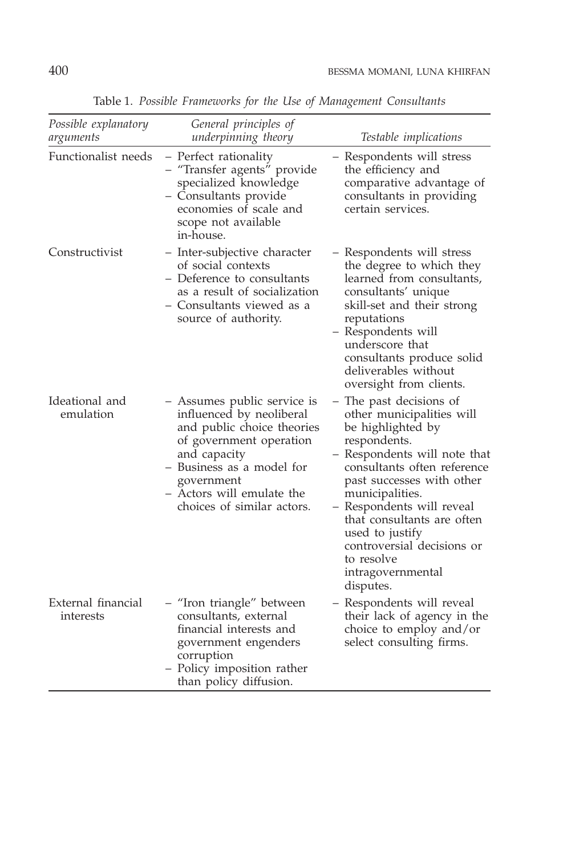| Possible explanatory<br>arguments | General principles of<br>underpinning theory                                                                                                                                                                                           | Testable implications                                                                                                                                                                                                                                                                                                                                                |
|-----------------------------------|----------------------------------------------------------------------------------------------------------------------------------------------------------------------------------------------------------------------------------------|----------------------------------------------------------------------------------------------------------------------------------------------------------------------------------------------------------------------------------------------------------------------------------------------------------------------------------------------------------------------|
| Functionalist needs               | - Perfect rationality<br>- "Transfer agents" provide<br>specialized knowledge<br>- Consultants provide<br>economies of scale and<br>scope not available<br>in-house.                                                                   | - Respondents will stress<br>the efficiency and<br>comparative advantage of<br>consultants in providing<br>certain services.                                                                                                                                                                                                                                         |
| Constructivist                    | - Inter-subjective character<br>of social contexts<br>– Deference to consultants<br>as a result of socialization<br>- Consultants viewed as a<br>source of authority.                                                                  | - Respondents will stress<br>the degree to which they<br>learned from consultants,<br>consultants' unique<br>skill-set and their strong<br>reputations<br>- Respondents will<br>underscore that<br>consultants produce solid<br>deliverables without<br>oversight from clients.                                                                                      |
| Ideational and<br>emulation       | - Assumes public service is<br>influenced by neoliberal<br>and public choice theories<br>of government operation<br>and capacity<br>- Business as a model for<br>government<br>– Actors will emulate the<br>choices of similar actors. | - The past decisions of<br>other municipalities will<br>be highlighted by<br>respondents.<br>- Respondents will note that<br>consultants often reference<br>past successes with other<br>municipalities.<br>- Respondents will reveal<br>that consultants are often<br>used to justify<br>controversial decisions or<br>to resolve<br>intragovernmental<br>disputes. |
| External financial<br>interests   | - "Iron triangle" between<br>consultants, external<br>financial interests and<br>government engenders<br>corruption<br>- Policy imposition rather<br>than policy diffusion.                                                            | – Respondents will reveal<br>their lack of agency in the<br>choice to employ and/or<br>select consulting firms.                                                                                                                                                                                                                                                      |

Table 1. *Possible Frameworks for the Use of Management Consultants*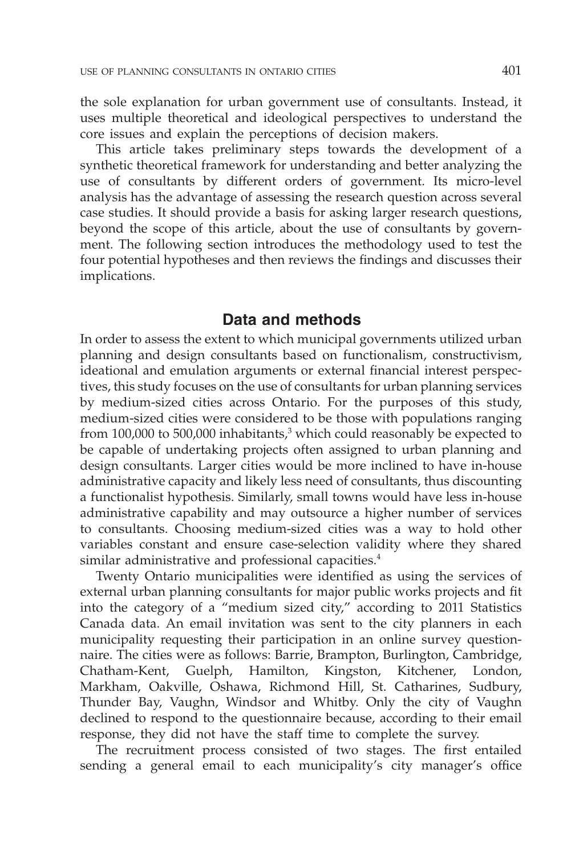the sole explanation for urban government use of consultants. Instead, it uses multiple theoretical and ideological perspectives to understand the core issues and explain the perceptions of decision makers.

This article takes preliminary steps towards the development of a synthetic theoretical framework for understanding and better analyzing the use of consultants by different orders of government. Its micro-level analysis has the advantage of assessing the research question across several case studies. It should provide a basis for asking larger research questions, beyond the scope of this article, about the use of consultants by government. The following section introduces the methodology used to test the four potential hypotheses and then reviews the findings and discusses their implications.

### **Data and methods**

In order to assess the extent to which municipal governments utilized urban planning and design consultants based on functionalism, constructivism, ideational and emulation arguments or external financial interest perspectives, this study focuses on the use of consultants for urban planning services by medium-sized cities across Ontario. For the purposes of this study, medium-sized cities were considered to be those with populations ranging from 100,000 to 500,000 inhabitants, $3 \text{ which could reasonably be expected to}$ be capable of undertaking projects often assigned to urban planning and design consultants. Larger cities would be more inclined to have in-house administrative capacity and likely less need of consultants, thus discounting a functionalist hypothesis. Similarly, small towns would have less in-house administrative capability and may outsource a higher number of services to consultants. Choosing medium-sized cities was a way to hold other variables constant and ensure case-selection validity where they shared similar administrative and professional capacities.<sup>4</sup>

Twenty Ontario municipalities were identified as using the services of external urban planning consultants for major public works projects and fit into the category of a "medium sized city," according to 2011 Statistics Canada data. An email invitation was sent to the city planners in each municipality requesting their participation in an online survey questionnaire. The cities were as follows: Barrie, Brampton, Burlington, Cambridge, Chatham-Kent, Guelph, Hamilton, Kingston, Kitchener, London, Markham, Oakville, Oshawa, Richmond Hill, St. Catharines, Sudbury, Thunder Bay, Vaughn, Windsor and Whitby. Only the city of Vaughn declined to respond to the questionnaire because, according to their email response, they did not have the staff time to complete the survey.

The recruitment process consisted of two stages. The first entailed sending a general email to each municipality's city manager's office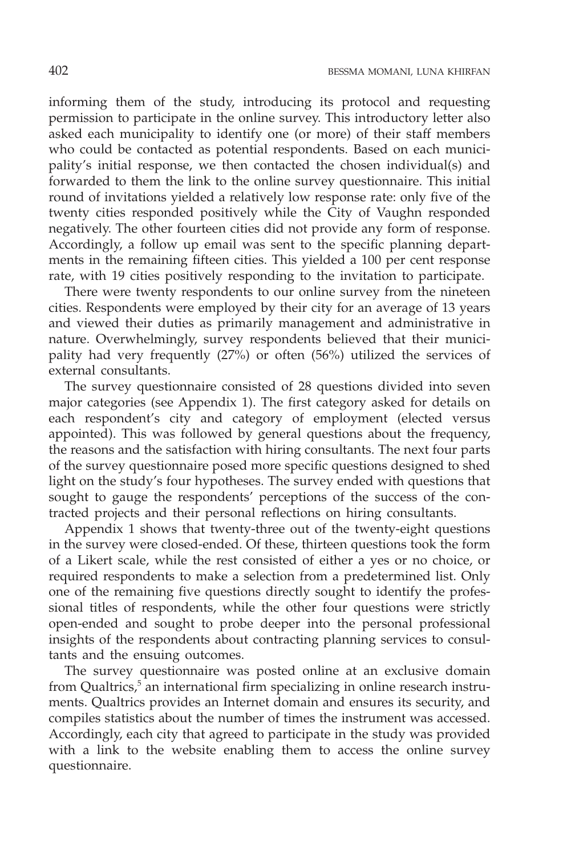informing them of the study, introducing its protocol and requesting permission to participate in the online survey. This introductory letter also asked each municipality to identify one (or more) of their staff members who could be contacted as potential respondents. Based on each municipality's initial response, we then contacted the chosen individual(s) and forwarded to them the link to the online survey questionnaire. This initial round of invitations yielded a relatively low response rate: only five of the twenty cities responded positively while the City of Vaughn responded negatively. The other fourteen cities did not provide any form of response. Accordingly, a follow up email was sent to the specific planning departments in the remaining fifteen cities. This yielded a 100 per cent response rate, with 19 cities positively responding to the invitation to participate.

There were twenty respondents to our online survey from the nineteen cities. Respondents were employed by their city for an average of 13 years and viewed their duties as primarily management and administrative in nature. Overwhelmingly, survey respondents believed that their municipality had very frequently (27%) or often (56%) utilized the services of external consultants.

The survey questionnaire consisted of 28 questions divided into seven major categories (see Appendix 1). The first category asked for details on each respondent's city and category of employment (elected versus appointed). This was followed by general questions about the frequency, the reasons and the satisfaction with hiring consultants. The next four parts of the survey questionnaire posed more specific questions designed to shed light on the study's four hypotheses. The survey ended with questions that sought to gauge the respondents' perceptions of the success of the contracted projects and their personal reflections on hiring consultants.

Appendix 1 shows that twenty-three out of the twenty-eight questions in the survey were closed-ended. Of these, thirteen questions took the form of a Likert scale, while the rest consisted of either a yes or no choice, or required respondents to make a selection from a predetermined list. Only one of the remaining five questions directly sought to identify the professional titles of respondents, while the other four questions were strictly open-ended and sought to probe deeper into the personal professional insights of the respondents about contracting planning services to consultants and the ensuing outcomes.

The survey questionnaire was posted online at an exclusive domain from Qualtrics, $5$  an international firm specializing in online research instruments. Qualtrics provides an Internet domain and ensures its security, and compiles statistics about the number of times the instrument was accessed. Accordingly, each city that agreed to participate in the study was provided with a link to the website enabling them to access the online survey questionnaire.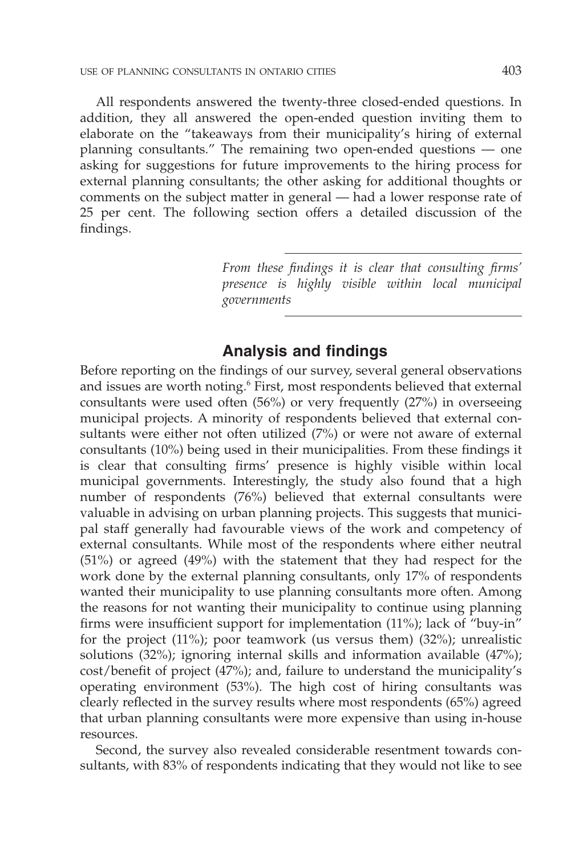All respondents answered the twenty-three closed-ended questions. In addition, they all answered the open-ended question inviting them to elaborate on the "takeaways from their municipality's hiring of external planning consultants." The remaining two open-ended questions — one asking for suggestions for future improvements to the hiring process for external planning consultants; the other asking for additional thoughts or comments on the subject matter in general — had a lower response rate of 25 per cent. The following section offers a detailed discussion of the findings.

> *From these findings it is clear that consulting firms' presence is highly visible within local municipal governments*

### **Analysis and findings**

Before reporting on the findings of our survey, several general observations and issues are worth noting.<sup>6</sup> First, most respondents believed that external consultants were used often (56%) or very frequently (27%) in overseeing municipal projects. A minority of respondents believed that external consultants were either not often utilized (7%) or were not aware of external consultants (10%) being used in their municipalities. From these findings it is clear that consulting firms' presence is highly visible within local municipal governments. Interestingly, the study also found that a high number of respondents (76%) believed that external consultants were valuable in advising on urban planning projects. This suggests that municipal staff generally had favourable views of the work and competency of external consultants. While most of the respondents where either neutral (51%) or agreed (49%) with the statement that they had respect for the work done by the external planning consultants, only 17% of respondents wanted their municipality to use planning consultants more often. Among the reasons for not wanting their municipality to continue using planning firms were insufficient support for implementation (11%); lack of "buy-in" for the project (11%); poor teamwork (us versus them) (32%); unrealistic solutions (32%); ignoring internal skills and information available (47%); cost/benefit of project (47%); and, failure to understand the municipality's operating environment (53%). The high cost of hiring consultants was clearly reflected in the survey results where most respondents (65%) agreed that urban planning consultants were more expensive than using in-house resources.

Second, the survey also revealed considerable resentment towards consultants, with 83% of respondents indicating that they would not like to see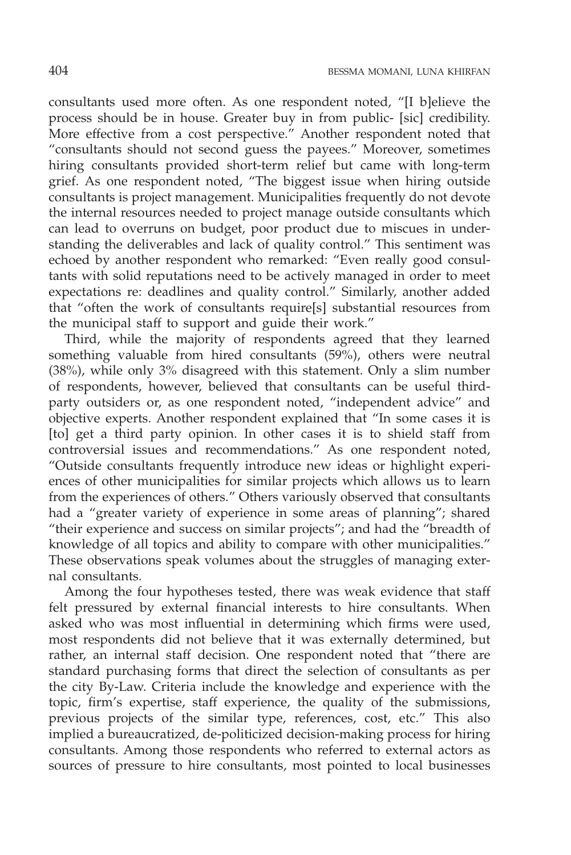consultants used more often. As one respondent noted, "[I b]elieve the process should be in house. Greater buy in from public- [sic] credibility. More effective from a cost perspective." Another respondent noted that "consultants should not second guess the payees." Moreover, sometimes hiring consultants provided short-term relief but came with long-term grief. As one respondent noted, "The biggest issue when hiring outside consultants is project management. Municipalities frequently do not devote the internal resources needed to project manage outside consultants which can lead to overruns on budget, poor product due to miscues in understanding the deliverables and lack of quality control." This sentiment was echoed by another respondent who remarked: "Even really good consultants with solid reputations need to be actively managed in order to meet expectations re: deadlines and quality control." Similarly, another added that "often the work of consultants require[s] substantial resources from the municipal staff to support and guide their work."

Third, while the majority of respondents agreed that they learned something valuable from hired consultants (59%), others were neutral (38%), while only 3% disagreed with this statement. Only a slim number of respondents, however, believed that consultants can be useful thirdparty outsiders or, as one respondent noted, "independent advice" and objective experts. Another respondent explained that "In some cases it is [to] get a third party opinion. In other cases it is to shield staff from controversial issues and recommendations." As one respondent noted, "Outside consultants frequently introduce new ideas or highlight experiences of other municipalities for similar projects which allows us to learn from the experiences of others." Others variously observed that consultants had a "greater variety of experience in some areas of planning"; shared "their experience and success on similar projects"; and had the "breadth of knowledge of all topics and ability to compare with other municipalities." These observations speak volumes about the struggles of managing external consultants.

Among the four hypotheses tested, there was weak evidence that staff felt pressured by external financial interests to hire consultants. When asked who was most influential in determining which firms were used, most respondents did not believe that it was externally determined, but rather, an internal staff decision. One respondent noted that "there are standard purchasing forms that direct the selection of consultants as per the city By-Law. Criteria include the knowledge and experience with the topic, firm's expertise, staff experience, the quality of the submissions, previous projects of the similar type, references, cost, etc." This also implied a bureaucratized, de-politicized decision-making process for hiring consultants. Among those respondents who referred to external actors as sources of pressure to hire consultants, most pointed to local businesses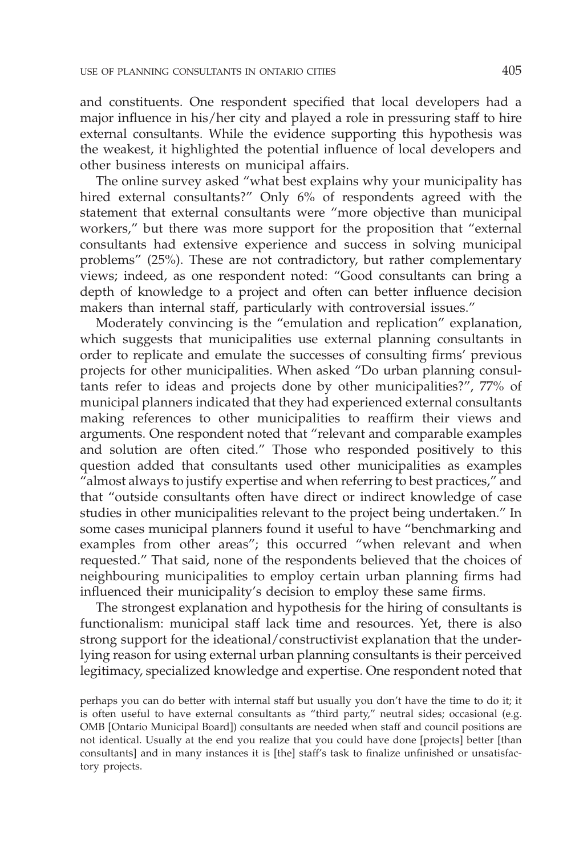and constituents. One respondent specified that local developers had a major influence in his/her city and played a role in pressuring staff to hire external consultants. While the evidence supporting this hypothesis was the weakest, it highlighted the potential influence of local developers and other business interests on municipal affairs.

The online survey asked "what best explains why your municipality has hired external consultants?" Only 6% of respondents agreed with the statement that external consultants were "more objective than municipal workers," but there was more support for the proposition that "external consultants had extensive experience and success in solving municipal problems" (25%). These are not contradictory, but rather complementary views; indeed, as one respondent noted: "Good consultants can bring a depth of knowledge to a project and often can better influence decision makers than internal staff, particularly with controversial issues."

Moderately convincing is the "emulation and replication" explanation, which suggests that municipalities use external planning consultants in order to replicate and emulate the successes of consulting firms' previous projects for other municipalities. When asked "Do urban planning consultants refer to ideas and projects done by other municipalities?", 77% of municipal planners indicated that they had experienced external consultants making references to other municipalities to reaffirm their views and arguments. One respondent noted that "relevant and comparable examples and solution are often cited." Those who responded positively to this question added that consultants used other municipalities as examples "almost always to justify expertise and when referring to best practices," and that "outside consultants often have direct or indirect knowledge of case studies in other municipalities relevant to the project being undertaken." In some cases municipal planners found it useful to have "benchmarking and examples from other areas"; this occurred "when relevant and when requested." That said, none of the respondents believed that the choices of neighbouring municipalities to employ certain urban planning firms had influenced their municipality's decision to employ these same firms.

The strongest explanation and hypothesis for the hiring of consultants is functionalism: municipal staff lack time and resources. Yet, there is also strong support for the ideational/constructivist explanation that the underlying reason for using external urban planning consultants is their perceived legitimacy, specialized knowledge and expertise. One respondent noted that

perhaps you can do better with internal staff but usually you don't have the time to do it; it is often useful to have external consultants as "third party," neutral sides; occasional (e.g. OMB [Ontario Municipal Board]) consultants are needed when staff and council positions are not identical. Usually at the end you realize that you could have done [projects] better [than consultants] and in many instances it is [the] staff's task to finalize unfinished or unsatisfactory projects.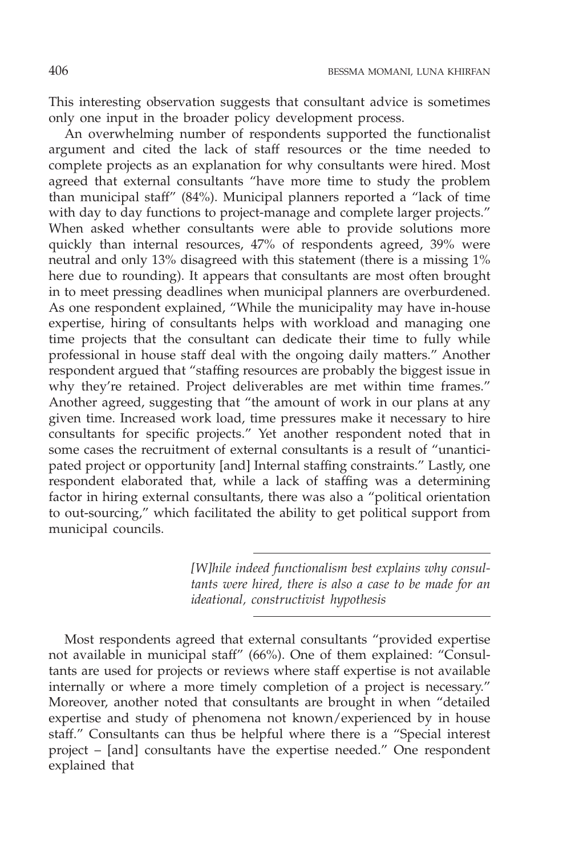This interesting observation suggests that consultant advice is sometimes only one input in the broader policy development process.

An overwhelming number of respondents supported the functionalist argument and cited the lack of staff resources or the time needed to complete projects as an explanation for why consultants were hired. Most agreed that external consultants "have more time to study the problem than municipal staff" (84%). Municipal planners reported a "lack of time with day to day functions to project-manage and complete larger projects." When asked whether consultants were able to provide solutions more quickly than internal resources, 47% of respondents agreed, 39% were neutral and only 13% disagreed with this statement (there is a missing 1% here due to rounding). It appears that consultants are most often brought in to meet pressing deadlines when municipal planners are overburdened. As one respondent explained, "While the municipality may have in-house expertise, hiring of consultants helps with workload and managing one time projects that the consultant can dedicate their time to fully while professional in house staff deal with the ongoing daily matters." Another respondent argued that "staffing resources are probably the biggest issue in why they're retained. Project deliverables are met within time frames." Another agreed, suggesting that "the amount of work in our plans at any given time. Increased work load, time pressures make it necessary to hire consultants for specific projects." Yet another respondent noted that in some cases the recruitment of external consultants is a result of "unanticipated project or opportunity [and] Internal staffing constraints." Lastly, one respondent elaborated that, while a lack of staffing was a determining factor in hiring external consultants, there was also a "political orientation to out-sourcing," which facilitated the ability to get political support from municipal councils.

> *[W]hile indeed functionalism best explains why consultants were hired, there is also a case to be made for an ideational, constructivist hypothesis*

Most respondents agreed that external consultants "provided expertise not available in municipal staff" (66%). One of them explained: "Consultants are used for projects or reviews where staff expertise is not available internally or where a more timely completion of a project is necessary." Moreover, another noted that consultants are brought in when "detailed expertise and study of phenomena not known/experienced by in house staff." Consultants can thus be helpful where there is a "Special interest project – [and] consultants have the expertise needed." One respondent explained that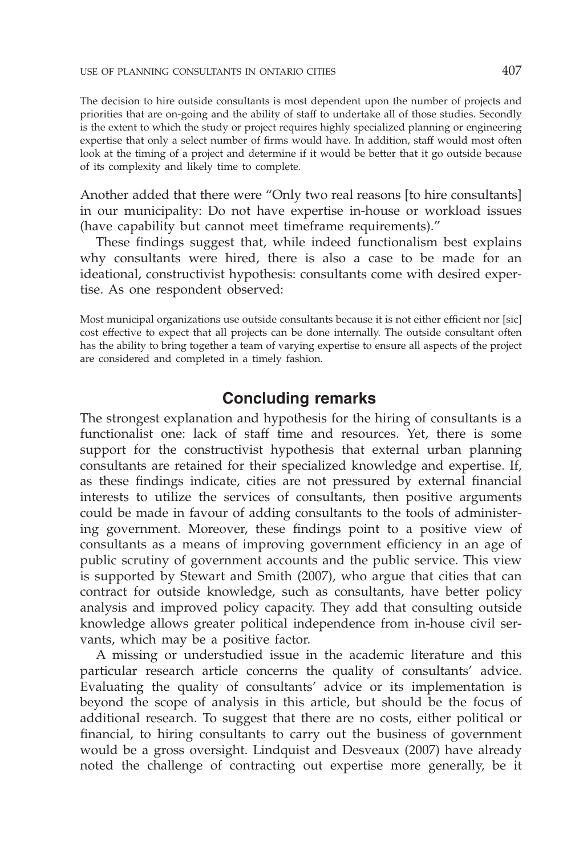The decision to hire outside consultants is most dependent upon the number of projects and priorities that are on-going and the ability of staff to undertake all of those studies. Secondly is the extent to which the study or project requires highly specialized planning or engineering expertise that only a select number of firms would have. In addition, staff would most often look at the timing of a project and determine if it would be better that it go outside because of its complexity and likely time to complete.

Another added that there were "Only two real reasons [to hire consultants] in our municipality: Do not have expertise in-house or workload issues (have capability but cannot meet timeframe requirements)."

These findings suggest that, while indeed functionalism best explains why consultants were hired, there is also a case to be made for an ideational, constructivist hypothesis: consultants come with desired expertise. As one respondent observed:

Most municipal organizations use outside consultants because it is not either efficient nor [sic] cost effective to expect that all projects can be done internally. The outside consultant often has the ability to bring together a team of varying expertise to ensure all aspects of the project are considered and completed in a timely fashion.

### **Concluding remarks**

The strongest explanation and hypothesis for the hiring of consultants is a functionalist one: lack of staff time and resources. Yet, there is some support for the constructivist hypothesis that external urban planning consultants are retained for their specialized knowledge and expertise. If, as these findings indicate, cities are not pressured by external financial interests to utilize the services of consultants, then positive arguments could be made in favour of adding consultants to the tools of administering government. Moreover, these findings point to a positive view of consultants as a means of improving government efficiency in an age of public scrutiny of government accounts and the public service. This view is supported by Stewart and Smith (2007), who argue that cities that can contract for outside knowledge, such as consultants, have better policy analysis and improved policy capacity. They add that consulting outside knowledge allows greater political independence from in-house civil servants, which may be a positive factor.

A missing or understudied issue in the academic literature and this particular research article concerns the quality of consultants' advice. Evaluating the quality of consultants' advice or its implementation is beyond the scope of analysis in this article, but should be the focus of additional research. To suggest that there are no costs, either political or financial, to hiring consultants to carry out the business of government would be a gross oversight. Lindquist and Desveaux (2007) have already noted the challenge of contracting out expertise more generally, be it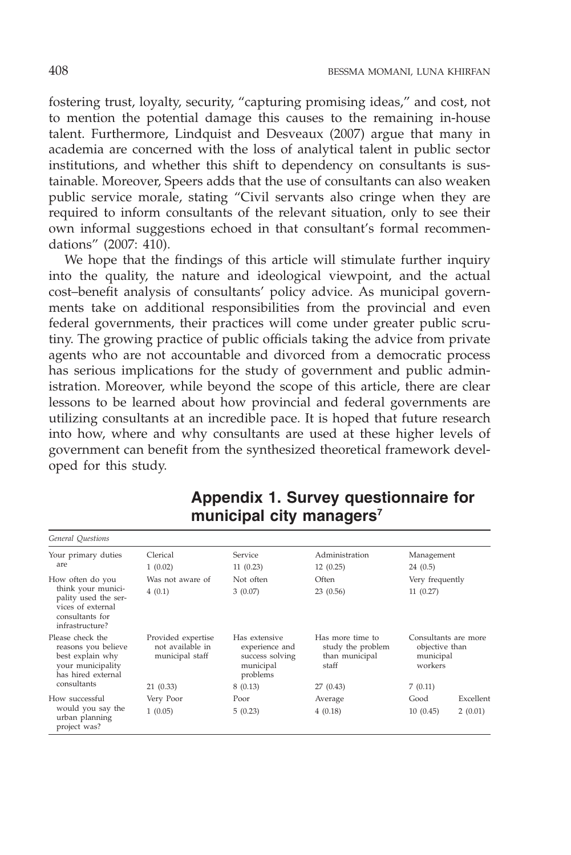fostering trust, loyalty, security, "capturing promising ideas," and cost, not to mention the potential damage this causes to the remaining in-house talent. Furthermore, Lindquist and Desveaux (2007) argue that many in academia are concerned with the loss of analytical talent in public sector institutions, and whether this shift to dependency on consultants is sustainable. Moreover, Speers adds that the use of consultants can also weaken public service morale, stating "Civil servants also cringe when they are required to inform consultants of the relevant situation, only to see their own informal suggestions echoed in that consultant's formal recommendations" (2007: 410).

We hope that the findings of this article will stimulate further inquiry into the quality, the nature and ideological viewpoint, and the actual cost–benefit analysis of consultants' policy advice. As municipal governments take on additional responsibilities from the provincial and even federal governments, their practices will come under greater public scrutiny. The growing practice of public officials taking the advice from private agents who are not accountable and divorced from a democratic process has serious implications for the study of government and public administration. Moreover, while beyond the scope of this article, there are clear lessons to be learned about how provincial and federal governments are utilizing consultants at an incredible pace. It is hoped that future research into how, where and why consultants are used at these higher levels of government can benefit from the synthesized theoretical framework developed for this study.

| General Ouestions                                                                                                         |                                                           |                                                                             |                                                                  |                                                                |                      |
|---------------------------------------------------------------------------------------------------------------------------|-----------------------------------------------------------|-----------------------------------------------------------------------------|------------------------------------------------------------------|----------------------------------------------------------------|----------------------|
| Your primary duties<br>are                                                                                                | Clerical<br>1(0.02)                                       | Service<br>11(0.23)                                                         | Administration<br>12(0.25)                                       | Management<br>24(0.5)                                          |                      |
| How often do you<br>think your munici-<br>pality used the ser-<br>vices of external<br>consultants for<br>infrastructure? | Was not aware of<br>4(0.1)                                | Not often<br>3(0.07)                                                        | Often<br>23(0.56)                                                | Very frequently<br>11(0.27)                                    |                      |
| Please check the<br>reasons you believe<br>best explain why<br>your municipality<br>has hired external                    | Provided expertise<br>not available in<br>municipal staff | Has extensive<br>experience and<br>success solving<br>municipal<br>problems | Has more time to<br>study the problem<br>than municipal<br>staff | Consultants are more<br>objective than<br>municipal<br>workers |                      |
| consultants                                                                                                               | 21(0.33)                                                  | 8(0.13)                                                                     | 27 (0.43)                                                        | 7(0.11)                                                        |                      |
| How successful<br>would you say the<br>urban planning<br>project was?                                                     | Very Poor<br>1(0.05)                                      | Poor<br>5(0.23)                                                             | Average<br>4(0.18)                                               | Good<br>10(0.45)                                               | Excellent<br>2(0.01) |

## **Appendix 1. Survey questionnaire for municipal city managers7**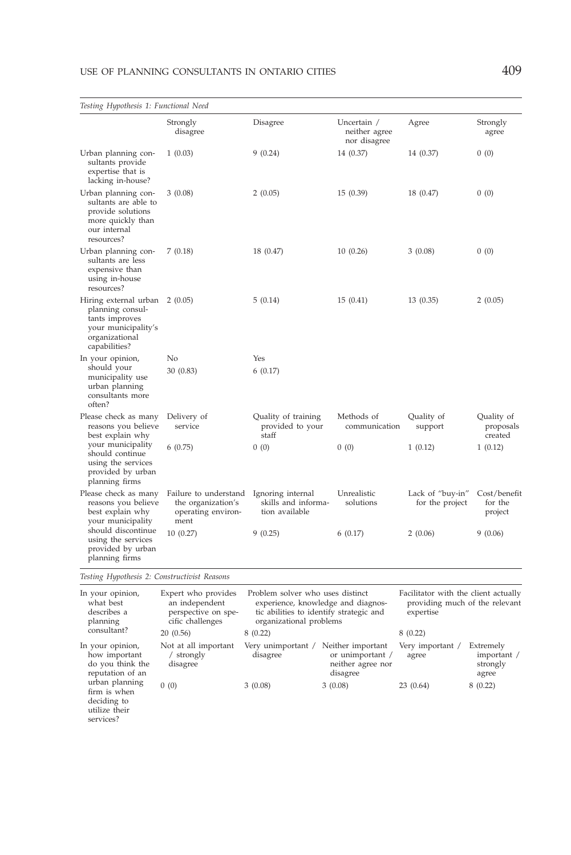#### USE OF PLANNING CONSULTANTS IN ONTARIO CITIES 409

| Testing Hypothesis 1: Functional Need                                                                                                                                |                                                                                  |                                                                                                                                              |                                              |                                                                                     |                                    |
|----------------------------------------------------------------------------------------------------------------------------------------------------------------------|----------------------------------------------------------------------------------|----------------------------------------------------------------------------------------------------------------------------------------------|----------------------------------------------|-------------------------------------------------------------------------------------|------------------------------------|
|                                                                                                                                                                      | Strongly<br>disagree                                                             | Disagree                                                                                                                                     | Uncertain /<br>neither agree<br>nor disagree | Agree                                                                               | Strongly<br>agree                  |
| Urban planning con-<br>sultants provide<br>expertise that is<br>lacking in-house?                                                                                    | 1(0.03)                                                                          | 9(0.24)                                                                                                                                      | 14 (0.37)                                    | 14 (0.37)                                                                           | 0(0)                               |
| Urban planning con-<br>sultants are able to<br>provide solutions<br>more quickly than<br>our internal<br>resources?                                                  | 3(0.08)                                                                          | 2(0.05)                                                                                                                                      | 15(0.39)                                     | 18 (0.47)                                                                           | 0(0)                               |
| Urban planning con-<br>sultants are less<br>expensive than<br>using in-house<br>resources?                                                                           | 7(0.18)                                                                          | 18 (0.47)                                                                                                                                    | 10(0.26)                                     | 3(0.08)                                                                             | 0(0)                               |
| Hiring external urban<br>planning consul-<br>tants improves<br>your municipality's<br>organizational<br>capabilities?                                                | 2(0.05)                                                                          | 5(0.14)                                                                                                                                      | 15(0.41)                                     | 13(0.35)                                                                            | 2(0.05)                            |
| In your opinion,<br>should your<br>municipality use<br>urban planning<br>consultants more<br>often?                                                                  | No<br>30 (0.83)                                                                  | Yes<br>6(0.17)                                                                                                                               |                                              |                                                                                     |                                    |
| Please check as many<br>reasons you believe<br>best explain why<br>your municipality<br>should continue<br>using the services<br>provided by urban<br>planning firms | Delivery of<br>service                                                           | Quality of training<br>provided to your<br>staff                                                                                             | Methods of<br>communication                  | Quality of<br>support                                                               | Quality of<br>proposals<br>created |
|                                                                                                                                                                      | 6(0.75)                                                                          | 0(0)                                                                                                                                         | 0(0)                                         | 1(0.12)                                                                             | 1(0.12)                            |
| Please check as many<br>reasons you believe<br>best explain why<br>your municipality                                                                                 | Failure to understand<br>the organization's<br>operating environ-<br>ment        | Ignoring internal<br>skills and informa-<br>tion available                                                                                   | Unrealistic<br>solutions                     | Lack of "buy-in"<br>for the project                                                 | Cost/benefit<br>for the<br>project |
| should discontinue<br>using the services<br>provided by urban<br>planning firms                                                                                      | 10(0.27)                                                                         | 9(0.25)                                                                                                                                      | 6(0.17)                                      | 2(0.06)                                                                             | 9 (0.06)                           |
| Testing Hypothesis 2: Constructivist Reasons                                                                                                                         |                                                                                  |                                                                                                                                              |                                              |                                                                                     |                                    |
| In your opinion,<br>what best<br>describes a<br>planning                                                                                                             | Expert who provides<br>an independent<br>perspective on spe-<br>cific challenges | Problem solver who uses distinct<br>experience, knowledge and diagnos-<br>tic abilities to identify strategic and<br>organizational problems |                                              | Facilitator with the client actually<br>providing much of the relevant<br>expertise |                                    |

| $\mathbf{r}$                                                              | $rac{1}{2}$                                  | $\alpha$                       |                                                                        |                           |                                               |
|---------------------------------------------------------------------------|----------------------------------------------|--------------------------------|------------------------------------------------------------------------|---------------------------|-----------------------------------------------|
| consultant?                                                               | 20(0.56)                                     | 8(0.22)                        |                                                                        | 8(0.22)                   |                                               |
| In your opinion,<br>how important<br>do you think the<br>reputation of an | Not at all important<br>strongly<br>disagree | Very unimportant /<br>disagree | Neither important<br>or unimportant /<br>neither agree nor<br>disagree | Very important /<br>agree | Extremely<br>important /<br>strongly<br>agree |
| urban planning<br>firm is when<br>deciding to<br>utilize their            | 0(0)                                         | 3(0.08)                        | 3(0.08)                                                                | 23(0.64)                  | 8(0.22)                                       |

services?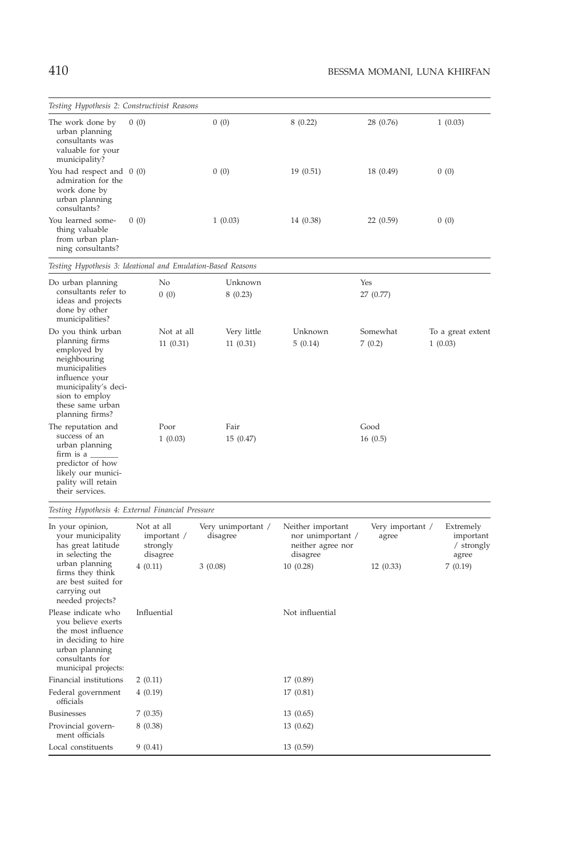| Testing Hypothesis 2: Constructivist Reasons                                                                                                                                             |                        |                         |                    |                    |                              |
|------------------------------------------------------------------------------------------------------------------------------------------------------------------------------------------|------------------------|-------------------------|--------------------|--------------------|------------------------------|
| The work done by<br>urban planning<br>consultants was<br>valuable for your<br>municipality?                                                                                              | 0(0)                   | 0(0)                    | 8(0.22)            | 28 (0.76)          | 1(0.03)                      |
| You had respect and $0(0)$<br>admiration for the<br>work done by<br>urban planning<br>consultants?                                                                                       |                        | 0(0)                    | 19(0.51)           | 18 (0.49)          | 0(0)                         |
| You learned some-<br>thing valuable<br>from urban plan-<br>ning consultants?                                                                                                             | 0(0)                   | 1(0.03)                 | 14 (0.38)          | 22 (0.59)          | 0(0)                         |
| Testing Hypothesis 3: Ideational and Emulation-Based Reasons                                                                                                                             |                        |                         |                    |                    |                              |
| Do urban planning<br>consultants refer to<br>ideas and projects<br>done by other<br>municipalities?                                                                                      | No<br>0(0)             | Unknown<br>8(0.23)      |                    | Yes<br>27 (0.77)   |                              |
| Do you think urban<br>planning firms<br>employed by<br>neighbouring<br>municipalities<br>influence your<br>municipality's deci-<br>sion to employ<br>these same urban<br>planning firms? | Not at all<br>11(0.31) | Very little<br>11(0.31) | Unknown<br>5(0.14) | Somewhat<br>7(0.2) | To a great extent<br>1(0.03) |
| The reputation and<br>success of an<br>urban planning<br>$firm$ is a $\_\_$<br>predictor of how<br>likely our munici-<br>pality will retain<br>their services.                           | Poor<br>1(0.03)        | Fair<br>15(0.47)        |                    | Good<br>16(0.5)    |                              |

*Testing Hypothesis 4: External Financial Pressure*

| In your opinion,<br>your municipality<br>has great latitude<br>in selecting the                                                                    | Not at all<br>important /<br>strongly<br>disagree | Very unimportant /<br>disagree | Neither important<br>nor unimportant /<br>neither agree nor<br>disagree | Very important /<br>agree | Extremely<br>important<br>/ strongly<br>agree |
|----------------------------------------------------------------------------------------------------------------------------------------------------|---------------------------------------------------|--------------------------------|-------------------------------------------------------------------------|---------------------------|-----------------------------------------------|
| urban planning<br>firms they think<br>are best suited for<br>carrying out<br>needed projects?                                                      | 4(0.11)                                           | 3(0.08)                        | 10(0.28)                                                                | 12(0.33)                  | 7(0.19)                                       |
| Please indicate who<br>you believe exerts<br>the most influence<br>in deciding to hire<br>urban planning<br>consultants for<br>municipal projects: | Influential                                       |                                | Not influential                                                         |                           |                                               |
| Financial institutions                                                                                                                             | 2(0.11)                                           |                                | 17 (0.89)                                                               |                           |                                               |
| Federal government<br>officials                                                                                                                    | 4(0.19)                                           |                                | 17(0.81)                                                                |                           |                                               |
| <b>Businesses</b>                                                                                                                                  | 7(0.35)                                           |                                | 13(0.65)                                                                |                           |                                               |
| Provincial govern-<br>ment officials                                                                                                               | 8(0.38)                                           |                                | 13(0.62)                                                                |                           |                                               |
| Local constituents                                                                                                                                 | 9(0.41)                                           |                                | 13(0.59)                                                                |                           |                                               |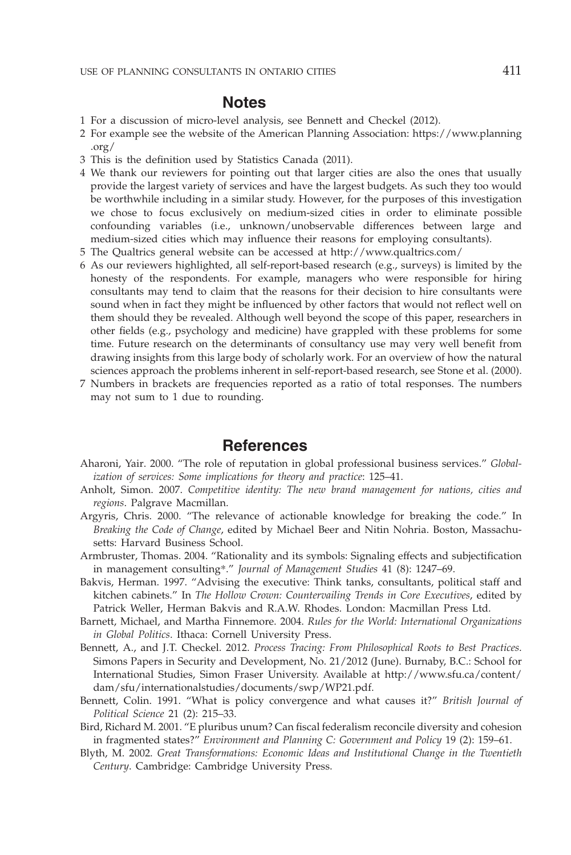#### **Notes**

- 1 For a discussion of micro-level analysis, see Bennett and Checkel (2012).
- 2 For example see the website of the American Planning Association: [https://www.planning](https://www.planning.org/) [.org/](https://www.planning.org/)
- 3 This is the definition used by Statistics Canada (2011).
- 4 We thank our reviewers for pointing out that larger cities are also the ones that usually provide the largest variety of services and have the largest budgets. As such they too would be worthwhile including in a similar study. However, for the purposes of this investigation we chose to focus exclusively on medium-sized cities in order to eliminate possible confounding variables (i.e., unknown/unobservable differences between large and medium-sized cities which may influence their reasons for employing consultants).
- 5 The Qualtrics general website can be accessed at<http://www.qualtrics.com/>
- 6 As our reviewers highlighted, all self-report-based research (e.g., surveys) is limited by the honesty of the respondents. For example, managers who were responsible for hiring consultants may tend to claim that the reasons for their decision to hire consultants were sound when in fact they might be influenced by other factors that would not reflect well on them should they be revealed. Although well beyond the scope of this paper, researchers in other fields (e.g., psychology and medicine) have grappled with these problems for some time. Future research on the determinants of consultancy use may very well benefit from drawing insights from this large body of scholarly work. For an overview of how the natural sciences approach the problems inherent in self-report-based research, see Stone et al. (2000).
- 7 Numbers in brackets are frequencies reported as a ratio of total responses. The numbers may not sum to 1 due to rounding.

#### **References**

- Aharoni, Yair. 2000. "The role of reputation in global professional business services." *Globalization of services: Some implications for theory and practice*: 125–41.
- Anholt, Simon. 2007. *Competitive identity: The new brand management for nations, cities and regions*. Palgrave Macmillan.
- Argyris, Chris. 2000. "The relevance of actionable knowledge for breaking the code." In *Breaking the Code of Change*, edited by Michael Beer and Nitin Nohria. Boston, Massachusetts: Harvard Business School.
- Armbruster, Thomas. 2004. "Rationality and its symbols: Signaling effects and subjectification in management consulting\*." *Journal of Management Studies* 41 (8): 1247–69.
- Bakvis, Herman. 1997. "Advising the executive: Think tanks, consultants, political staff and kitchen cabinets." In *The Hollow Crown: Countervailing Trends in Core Executives*, edited by Patrick Weller, Herman Bakvis and R.A.W. Rhodes. London: Macmillan Press Ltd.
- Barnett, Michael, and Martha Finnemore. 2004. *Rules for the World: International Organizations in Global Politics*. Ithaca: Cornell University Press.
- Bennett, A., and J.T. Checkel. 2012. *Process Tracing: From Philosophical Roots to Best Practices*. Simons Papers in Security and Development, No. 21/2012 (June). Burnaby, B.C.: School for International Studies, Simon Fraser University. Available at [http://www.sfu.ca/content/](http://www.sfu.ca/content/dam/sfu/internationalstudies/documents/swp/WP21.pdf) [dam/sfu/internationalstudies/documents/swp/WP21.pdf.](http://www.sfu.ca/content/dam/sfu/internationalstudies/documents/swp/WP21.pdf)
- Bennett, Colin. 1991. "What is policy convergence and what causes it?" *British Journal of Political Science* 21 (2): 215–33.
- Bird, Richard M. 2001. "E pluribus unum? Can fiscal federalism reconcile diversity and cohesion in fragmented states?" *Environment and Planning C: Government and Policy* 19 (2): 159–61.
- Blyth, M. 2002. *Great Transformations: Economic Ideas and Institutional Change in the Twentieth Century*. Cambridge: Cambridge University Press.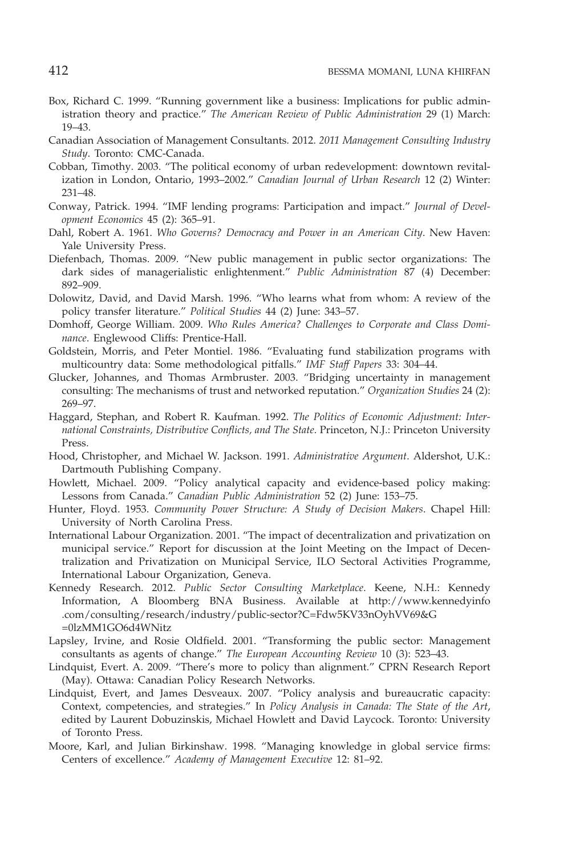- Box, Richard C. 1999. "Running government like a business: Implications for public administration theory and practice." *The American Review of Public Administration* 29 (1) March: 19–43.
- Canadian Association of Management Consultants. 2012. *2011 Management Consulting Industry Study*. Toronto: CMC-Canada.
- Cobban, Timothy. 2003. "The political economy of urban redevelopment: downtown revitalization in London, Ontario, 1993–2002." *Canadian Journal of Urban Research* 12 (2) Winter: 231–48.
- Conway, Patrick. 1994. "IMF lending programs: Participation and impact." *Journal of Development Economics* 45 (2): 365–91.
- Dahl, Robert A. 1961. *Who Governs? Democracy and Power in an American City*. New Haven: Yale University Press.
- Diefenbach, Thomas. 2009. "New public management in public sector organizations: The dark sides of managerialistic enlightenment." *Public Administration* 87 (4) December: 892–909.
- Dolowitz, David, and David Marsh. 1996. "Who learns what from whom: A review of the policy transfer literature." *Political Studies* 44 (2) June: 343–57.
- Domhoff, George William. 2009. *Who Rules America? Challenges to Corporate and Class Dominance*. Englewood Cliffs: Prentice-Hall.
- Goldstein, Morris, and Peter Montiel. 1986. "Evaluating fund stabilization programs with multicountry data: Some methodological pitfalls." *IMF Staff Papers* 33: 304–44.
- Glucker, Johannes, and Thomas Armbruster. 2003. "Bridging uncertainty in management consulting: The mechanisms of trust and networked reputation." *Organization Studies* 24 (2): 269–97.
- Haggard, Stephan, and Robert R. Kaufman. 1992. *The Politics of Economic Adjustment: International Constraints, Distributive Conflicts, and The State*. Princeton, N.J.: Princeton University Press.
- Hood, Christopher, and Michael W. Jackson. 1991. *Administrative Argument*. Aldershot, U.K.: Dartmouth Publishing Company.
- Howlett, Michael. 2009. "Policy analytical capacity and evidence-based policy making: Lessons from Canada." *Canadian Public Administration* 52 (2) June: 153–75.
- Hunter, Floyd. 1953. *Community Power Structure: A Study of Decision Makers*. Chapel Hill: University of North Carolina Press.
- International Labour Organization. 2001. "The impact of decentralization and privatization on municipal service." Report for discussion at the Joint Meeting on the Impact of Decentralization and Privatization on Municipal Service, ILO Sectoral Activities Programme, International Labour Organization, Geneva.
- Kennedy Research. 2012. *Public Sector Consulting Marketplace*. Keene, N.H.: Kennedy Information, A Bloomberg BNA Business. Available at [http://www.kennedyinfo](http://www.kennedyinfo.com/consulting/research/industry/public-sector?C=Fdw5KV33nOyhVV69&G=0lzMM1GO6d4WNitz) [.com/consulting/research/industry/public-sector?C=Fdw5KV33nOyhVV69&G](http://www.kennedyinfo.com/consulting/research/industry/public-sector?C=Fdw5KV33nOyhVV69&G=0lzMM1GO6d4WNitz) [=0lzMM1GO6d4WNitz](http://www.kennedyinfo.com/consulting/research/industry/public-sector?C=Fdw5KV33nOyhVV69&G=0lzMM1GO6d4WNitz)
- Lapsley, Irvine, and Rosie Oldfield. 2001. "Transforming the public sector: Management consultants as agents of change." *The European Accounting Review* 10 (3): 523–43.
- Lindquist, Evert. A. 2009. "There's more to policy than alignment." CPRN Research Report (May). Ottawa: Canadian Policy Research Networks.
- Lindquist, Evert, and James Desveaux. 2007. "Policy analysis and bureaucratic capacity: Context, competencies, and strategies." In *Policy Analysis in Canada: The State of the Art*, edited by Laurent Dobuzinskis, Michael Howlett and David Laycock. Toronto: University of Toronto Press.
- Moore, Karl, and Julian Birkinshaw. 1998. "Managing knowledge in global service firms: Centers of excellence." *Academy of Management Executive* 12: 81–92.